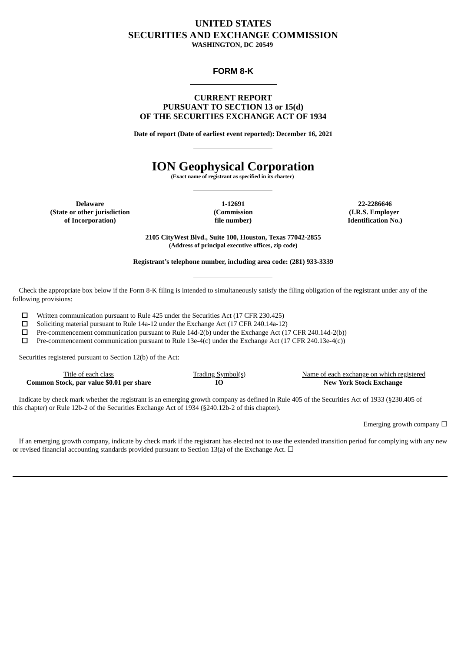# **UNITED STATES SECURITIES AND EXCHANGE COMMISSION**

**WASHINGTON, DC 20549**

### **FORM 8-K**

#### **CURRENT REPORT PURSUANT TO SECTION 13 or 15(d) OF THE SECURITIES EXCHANGE ACT OF 1934**

**Date of report (Date of earliest event reported): December 16, 2021**

# **ION Geophysical Corporation**

**(Exact name of registrant as specified in its charter)**

**Delaware (State or other jurisdiction of Incorporation)**

**1-12691 (Commission file number)**

**22-2286646 (I.R.S. Employer Identification No.)**

**2105 CityWest Blvd., Suite 100, Houston, Texas 77042-2855 (Address of principal executive offices, zip code)**

**Registrant's telephone number, including area code: (281) 933-3339**

Check the appropriate box below if the Form 8-K filing is intended to simultaneously satisfy the filing obligation of the registrant under any of the following provisions:

☐ Written communication pursuant to Rule 425 under the Securities Act (17 CFR 230.425)

☐ Soliciting material pursuant to Rule 14a-12 under the Exchange Act (17 CFR 240.14a-12)

☐ Pre-commencement communication pursuant to Rule 14d-2(b) under the Exchange Act (17 CFR 240.14d-2(b))

☐ Pre-commencement communication pursuant to Rule 13e-4(c) under the Exchange Act (17 CFR 240.13e-4(c))

Securities registered pursuant to Section 12(b) of the Act:

| Title of each class                      | <b>Trading Symbol(s)</b> | Name of each exchange on which registered |
|------------------------------------------|--------------------------|-------------------------------------------|
| Common Stock, par value \$0.01 per share |                          | <b>New York Stock Exchange</b>            |

Indicate by check mark whether the registrant is an emerging growth company as defined in Rule 405 of the Securities Act of 1933 (§230.405 of this chapter) or Rule 12b-2 of the Securities Exchange Act of 1934 (§240.12b-2 of this chapter).

Emerging growth company  $\Box$ 

If an emerging growth company, indicate by check mark if the registrant has elected not to use the extended transition period for complying with any new or revised financial accounting standards provided pursuant to Section 13(a) of the Exchange Act.  $\Box$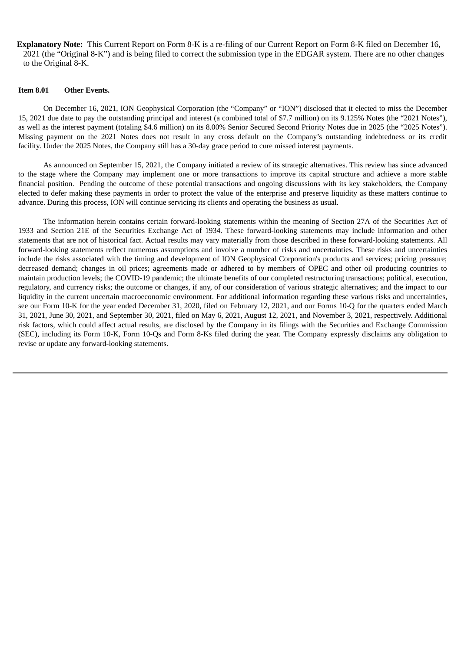**Explanatory Note:** This Current Report on Form 8-K is a re-filing of our Current Report on Form 8-K filed on December 16, 2021 (the "Original 8-K") and is being filed to correct the submission type in the EDGAR system. There are no other changes to the Original 8-K.

### **Item 8.01 Other Events.**

On December 16, 2021, ION Geophysical Corporation (the "Company" or "ION") disclosed that it elected to miss the December 15, 2021 due date to pay the outstanding principal and interest (a combined total of \$7.7 million) on its 9.125% Notes (the "2021 Notes"), as well as the interest payment (totaling \$4.6 million) on its 8.00% Senior Secured Second Priority Notes due in 2025 (the "2025 Notes"). Missing payment on the 2021 Notes does not result in any cross default on the Company's outstanding indebtedness or its credit facility. Under the 2025 Notes, the Company still has a 30-day grace period to cure missed interest payments.

As announced on September 15, 2021, the Company initiated a review of its strategic alternatives. This review has since advanced to the stage where the Company may implement one or more transactions to improve its capital structure and achieve a more stable financial position. Pending the outcome of these potential transactions and ongoing discussions with its key stakeholders, the Company elected to defer making these payments in order to protect the value of the enterprise and preserve liquidity as these matters continue to advance. During this process, ION will continue servicing its clients and operating the business as usual.

The information herein contains certain forward-looking statements within the meaning of Section 27A of the Securities Act of 1933 and Section 21E of the Securities Exchange Act of 1934. These forward-looking statements may include information and other statements that are not of historical fact. Actual results may vary materially from those described in these forward-looking statements. All forward-looking statements reflect numerous assumptions and involve a number of risks and uncertainties. These risks and uncertainties include the risks associated with the timing and development of ION Geophysical Corporation's products and services; pricing pressure; decreased demand; changes in oil prices; agreements made or adhered to by members of OPEC and other oil producing countries to maintain production levels; the COVID-19 pandemic; the ultimate benefits of our completed restructuring transactions; political, execution, regulatory, and currency risks; the outcome or changes, if any, of our consideration of various strategic alternatives; and the impact to our liquidity in the current uncertain macroeconomic environment. For additional information regarding these various risks and uncertainties, see our Form 10-K for the year ended December 31, 2020, filed on February 12, 2021, and our Forms 10-Q for the quarters ended March 31, 2021, June 30, 2021, and September 30, 2021, filed on May 6, 2021, August 12, 2021, and November 3, 2021, respectively. Additional risk factors, which could affect actual results, are disclosed by the Company in its filings with the Securities and Exchange Commission (SEC), including its Form 10-K, Form 10-Qs and Form 8-Ks filed during the year. The Company expressly disclaims any obligation to revise or update any forward-looking statements.